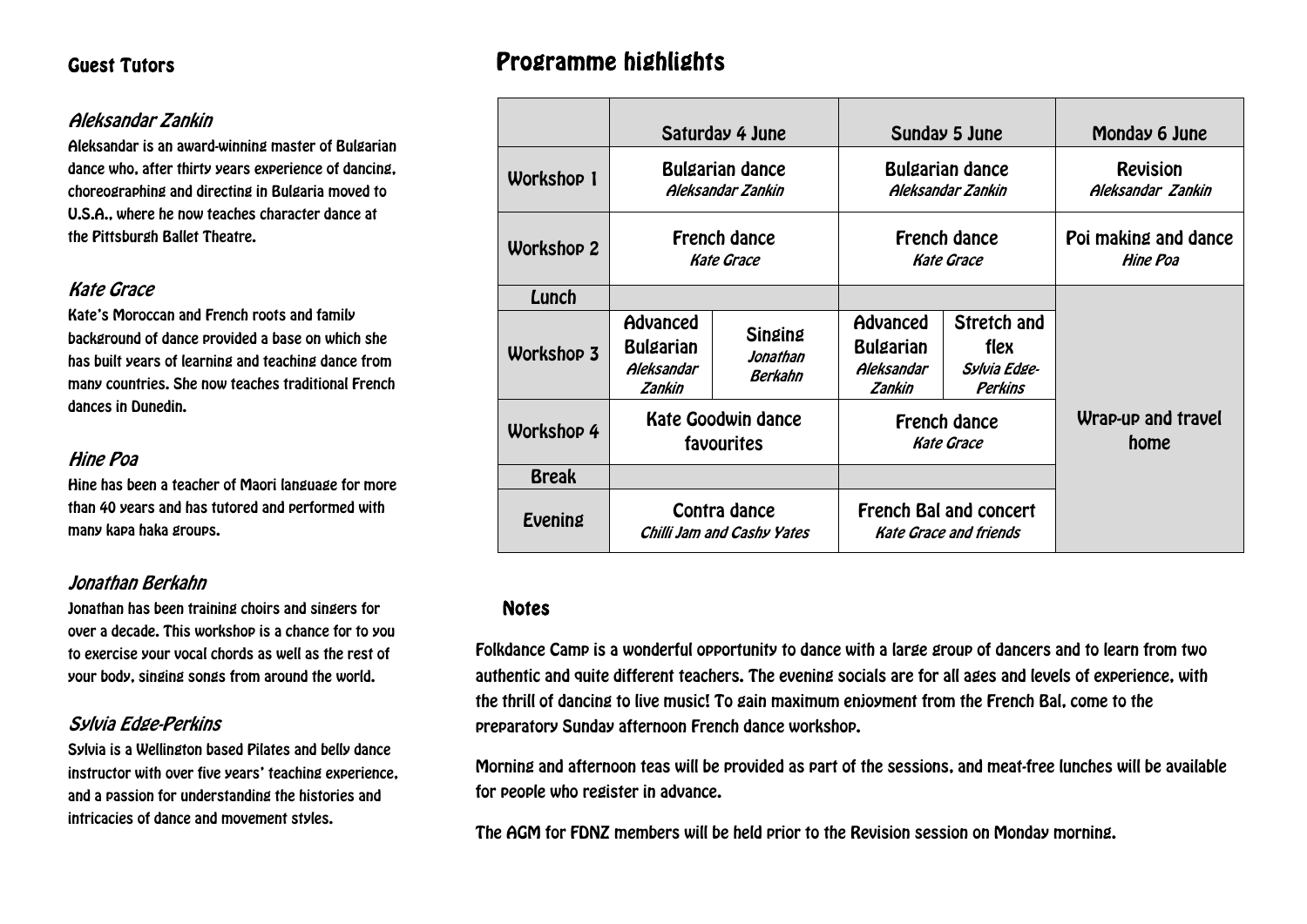## Guest Tutors

## Aleksandar Zankin

Aleksandar is an award-winning master of Bulgarian dance who, after thirty years experience of dancing, choreographing and directing in Bulgaria moved to U.S.A., where he now teaches character dance at the Pittsburgh Ballet Theatre.

## Kate Grace

Kate's Moroccan and French roots and family background of dance provided a base on which she has built years of learning and teaching dance from many countries. She now teaches traditional French dances in Dunedin.

### Hine Poa

Hine has been a teacher of Maori language for more than 40 years and has tutored and performed with many kapa haka groups.

## Jonathan Berkahn

Jonathan has been training choirs and singers for over a decade. This workshop is a chance for to you to exercise your vocal chords as well as the rest of your body, singing songs from around the world.

## Sylvia Edge-Perkins

Sylvia is a Wellington based Pilates and belly dance instructor with over five years' teaching experience, and a passion for understanding the histories and intricacies of dance and movement styles.

## Programme highlights

|                   | Saturday 4 June                                      |                                              | Sunday 5 June                                                  |                                                              | Monday 6 June                        |
|-------------------|------------------------------------------------------|----------------------------------------------|----------------------------------------------------------------|--------------------------------------------------------------|--------------------------------------|
| <b>Workshop 1</b> | <b>Bulgarian dance</b><br>Aleksandar Zankin          |                                              | <b>Bulgarian dance</b><br>Aleksandar Zankin                    |                                                              | <b>Revision</b><br>Aleksandar Zankin |
| <b>Workshop 2</b> | <b>French dance</b><br><b>Kate Grace</b>             |                                              | <b>French dance</b><br><b>Kate Grace</b>                       |                                                              | Poi making and dance<br>Hine Poa     |
| Lunch             |                                                      |                                              |                                                                |                                                              |                                      |
| <b>Workshop 3</b> | Advanced<br><b>Bulgarian</b><br>Aleksandar<br>Zankin | <b>Singing</b><br>Jonathan<br><b>Berkahn</b> | Advanced<br><b>Bulgarian</b><br>Aleksandar<br>Zankin           | <b>Stretch and</b><br>flex<br>Sylvia Edge-<br><b>Perkins</b> |                                      |
| <b>Workshop 4</b> | <b>Kate Goodwin dance</b><br>favourites              |                                              | <b>French dance</b><br><b>Kate Grace</b>                       |                                                              | Wrap-up and travel<br>home           |
| <b>Break</b>      |                                                      |                                              |                                                                |                                                              |                                      |
| Evening           | Contra dance<br>Chilli Jam and Cashy Yates           |                                              | <b>French Bal and concert</b><br><b>Kate Grace and friends</b> |                                                              |                                      |

#### Notes

Folkdance Camp is a wonderful opportunity to dance with a large group of dancers and to learn from two authentic and quite different teachers. The evening socials are for all ages and levels of experience, with the thrill of dancing to live music! To gain maximum enjoyment from the French Bal, come to the preparatory Sunday afternoon French dance workshop.

Morning and afternoon teas will be provided as part of the sessions, and meat-free lunches will be available for people who register in advance.

The AGM for FDNZ members will be held prior to the Revision session on Monday morning.